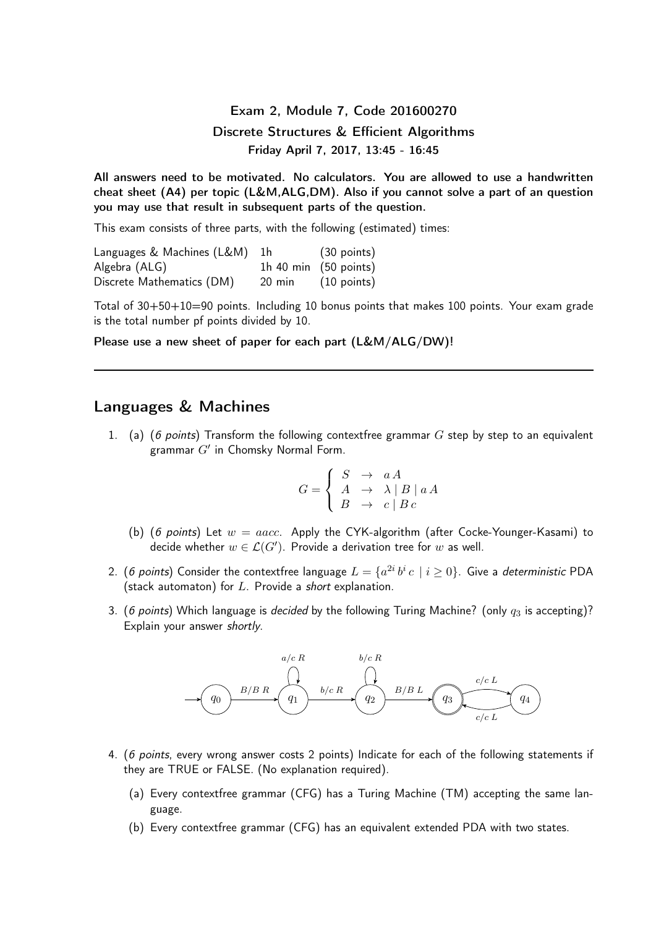Exam 2, Module 7, Code 201600270 Discrete Structures & Efficient Algorithms Friday April 7, 2017, 13:45 - 16:45

All answers need to be motivated. No calculators. You are allowed to use a handwritten cheat sheet (A4) per topic (L&M,ALG,DM). Also if you cannot solve a part of an question you may use that result in subsequent parts of the question.

This exam consists of three parts, with the following (estimated) times:

Languages & Machines (L&M) 1h (30 points) Algebra (ALG) 1h 40 min (50 points) Discrete Mathematics (DM) 20 min (10 points)

Total of 30+50+10=90 points. Including 10 bonus points that makes 100 points. Your exam grade is the total number pf points divided by 10.

Please use a new sheet of paper for each part (L&M/ALG/DW)!

## Languages & Machines

1. (a) (6 points) Transform the following contextfree grammar  $G$  step by step to an equivalent grammar  $G'$  in Chomsky Normal Form.

$$
G = \begin{cases} S & \to aA \\ A & \to \lambda \mid B \mid aA \\ B & \to c \mid Bc \end{cases}
$$

- (b) (6 points) Let  $w = aacc$ . Apply the CYK-algorithm (after Cocke-Younger-Kasami) to decide whether  $w\in{\mathcal L}(G')$ . Provide a derivation tree for  $w$  as well.
- 2. (6 points) Consider the contextfree language  $L = \{a^{2i} \, b^i \, c \,\,|\,\, i \geq 0\}$ . Give a *deterministic* PDA (stack automaton) for  $L$ . Provide a short explanation.
- 3. (6 points) Which language is decided by the following Turing Machine? (only  $q_3$  is accepting)? Explain your answer shortly.



- 4. (6 points, every wrong answer costs 2 points) Indicate for each of the following statements if they are TRUE or FALSE. (No explanation required).
	- (a) Every contextfree grammar (CFG) has a Turing Machine (TM) accepting the same language.
	- (b) Every contextfree grammar (CFG) has an equivalent extended PDA with two states.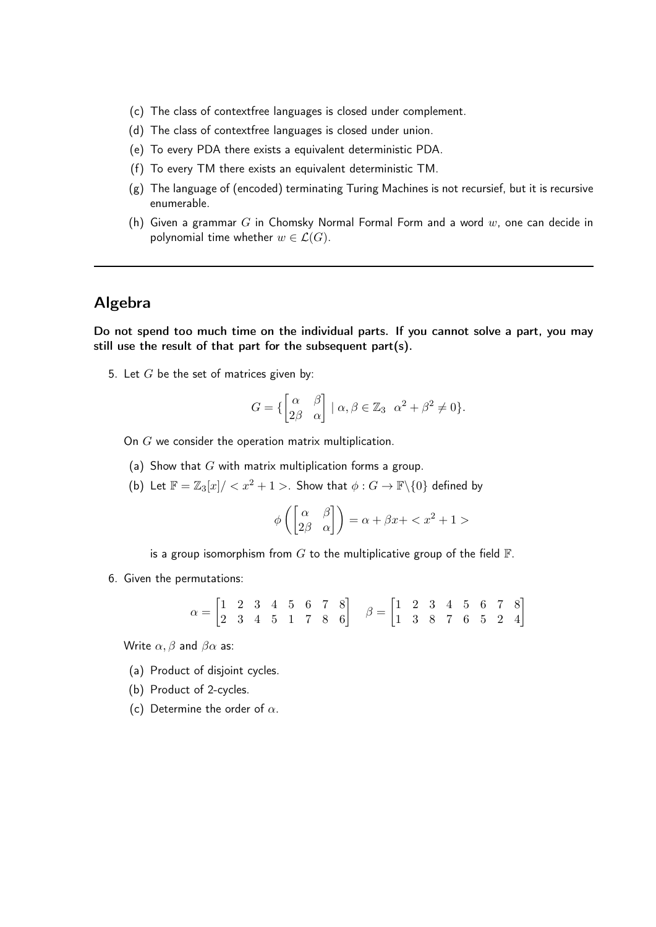- (c) The class of contextfree languages is closed under complement.
- (d) The class of contextfree languages is closed under union.
- (e) To every PDA there exists a equivalent deterministic PDA.
- (f) To every TM there exists an equivalent deterministic TM.
- (g) The language of (encoded) terminating Turing Machines is not recursief, but it is recursive enumerable.
- (h) Given a grammar G in Chomsky Normal Formal Form and a word  $w$ , one can decide in polynomial time whether  $w \in \mathcal{L}(G)$ .

## Algebra

Do not spend too much time on the individual parts. If you cannot solve a part, you may still use the result of that part for the subsequent part(s).

5. Let  $G$  be the set of matrices given by:

$$
G = \{ \begin{bmatrix} \alpha & \beta \\ 2\beta & \alpha \end{bmatrix} \mid \alpha, \beta \in \mathbb{Z}_3 \ \alpha^2 + \beta^2 \neq 0 \}.
$$

On G we consider the operation matrix multiplication.

- (a) Show that  $G$  with matrix multiplication forms a group.
- (b) Let  $\mathbb{F} = \mathbb{Z}_3[x]/\langle x^2 + 1 \rangle$ . Show that  $\phi : G \to \mathbb{F}\backslash\{0\}$  defined by

$$
\phi\left(\begin{bmatrix} \alpha & \beta \\ 2\beta & \alpha \end{bmatrix}\right) = \alpha + \beta x + \langle x^2 + 1 \rangle
$$

is a group isomorphism from  $G$  to the multiplicative group of the field  $\mathbb{F}$ .

6. Given the permutations:

 $\alpha = \begin{bmatrix} 1 & 2 & 3 & 4 & 5 & 6 & 7 & 8 \ 2 & 3 & 4 & 5 & 1 & 7 & 8 & 6 \end{bmatrix}$   $\beta = \begin{bmatrix} 1 & 2 & 3 & 4 & 5 & 6 & 7 & 8 \ 1 & 3 & 8 & 7 & 6 & 5 & 2 & 4 \end{bmatrix}$ 

Write  $\alpha$ ,  $\beta$  and  $\beta\alpha$  as:

- (a) Product of disjoint cycles.
- (b) Product of 2-cycles.
- (c) Determine the order of  $\alpha$ .